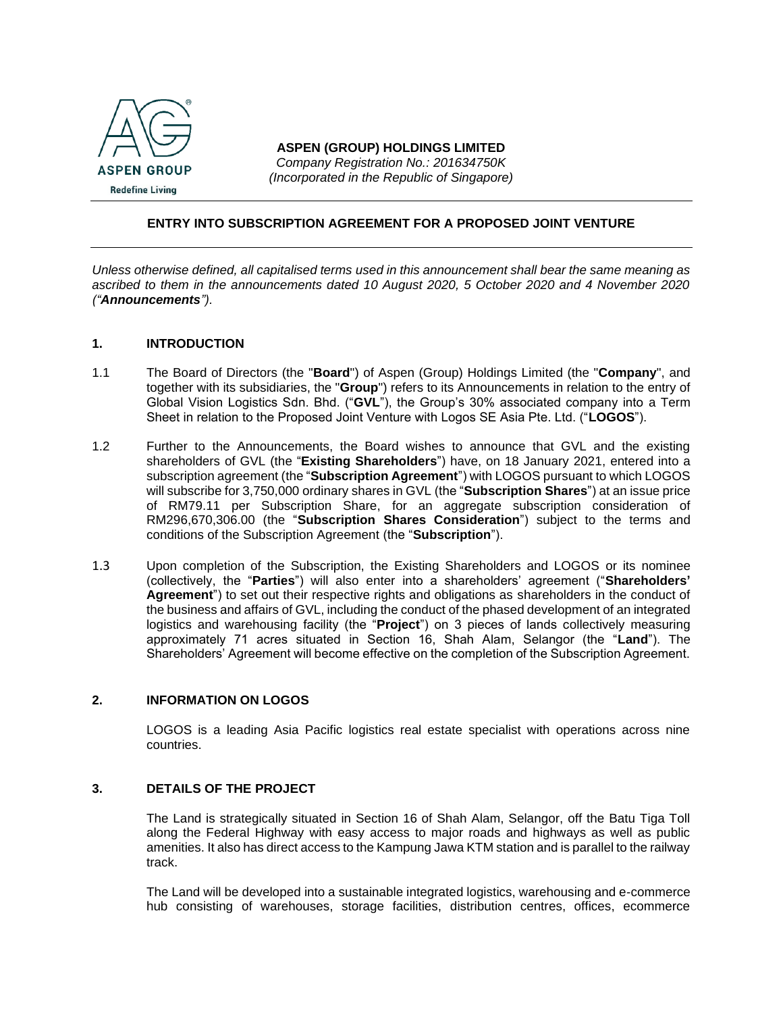

#### **ASPEN (GROUP) HOLDINGS LIMITED** *Company Registration No.: 201634750K (Incorporated in the Republic of Singapore)*

## **ENTRY INTO SUBSCRIPTION AGREEMENT FOR A PROPOSED JOINT VENTURE**

*Unless otherwise defined, all capitalised terms used in this announcement shall bear the same meaning as ascribed to them in the announcements dated 10 August 2020, 5 October 2020 and 4 November 2020 ("Announcements").* 

## **1. INTRODUCTION**

- 1.1 The Board of Directors (the "**Board**") of Aspen (Group) Holdings Limited (the "**Company**", and together with its subsidiaries, the "**Group**") refers to its Announcements in relation to the entry of Global Vision Logistics Sdn. Bhd. ("**GVL**"), the Group's 30% associated company into a Term Sheet in relation to the Proposed Joint Venture with Logos SE Asia Pte. Ltd. ("**LOGOS**").
- 1.2 Further to the Announcements, the Board wishes to announce that GVL and the existing shareholders of GVL (the "**Existing Shareholders**") have, on 18 January 2021, entered into a subscription agreement (the "**Subscription Agreement**") with LOGOS pursuant to which LOGOS will subscribe for 3,750,000 ordinary shares in GVL (the "**Subscription Shares**") at an issue price of RM79.11 per Subscription Share, for an aggregate subscription consideration of RM296,670,306.00 (the "**Subscription Shares Consideration**") subject to the terms and conditions of the Subscription Agreement (the "**Subscription**").
- 1.3 Upon completion of the Subscription, the Existing Shareholders and LOGOS or its nominee (collectively, the "**Parties**") will also enter into a shareholders' agreement ("**Shareholders' Agreement**") to set out their respective rights and obligations as shareholders in the conduct of the business and affairs of GVL, including the conduct of the phased development of an integrated logistics and warehousing facility (the "**Project**") on 3 pieces of lands collectively measuring approximately 71 acres situated in Section 16, Shah Alam, Selangor (the "**Land**"). The Shareholders' Agreement will become effective on the completion of the Subscription Agreement.

#### **2. INFORMATION ON LOGOS**

LOGOS is a leading Asia Pacific logistics real estate specialist with operations across nine countries.

### **3. DETAILS OF THE PROJECT**

The Land is strategically situated in Section 16 of Shah Alam, Selangor, off the Batu Tiga Toll along the Federal Highway with easy access to major roads and highways as well as public amenities. It also has direct access to the Kampung Jawa KTM station and is parallel to the railway track.

The Land will be developed into a sustainable integrated logistics, warehousing and e-commerce hub consisting of warehouses, storage facilities, distribution centres, offices, ecommerce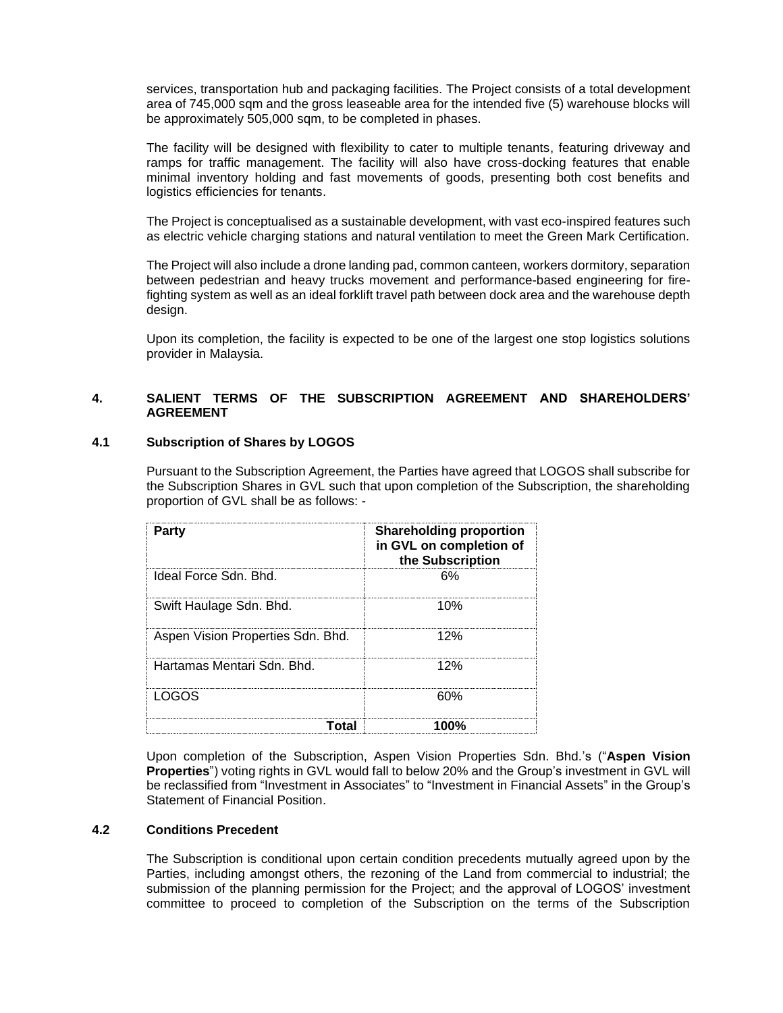services, transportation hub and packaging facilities. The Project consists of a total development area of 745,000 sqm and the gross leaseable area for the intended five (5) warehouse blocks will be approximately 505,000 sqm, to be completed in phases.

The facility will be designed with flexibility to cater to multiple tenants, featuring driveway and ramps for traffic management. The facility will also have cross-docking features that enable minimal inventory holding and fast movements of goods, presenting both cost benefits and logistics efficiencies for tenants.

The Project is conceptualised as a sustainable development, with vast eco-inspired features such as electric vehicle charging stations and natural ventilation to meet the Green Mark Certification.

The Project will also include a drone landing pad, common canteen, workers dormitory, separation between pedestrian and heavy trucks movement and performance-based engineering for firefighting system as well as an ideal forklift travel path between dock area and the warehouse depth design.

Upon its completion, the facility is expected to be one of the largest one stop logistics solutions provider in Malaysia.

# **4. SALIENT TERMS OF THE SUBSCRIPTION AGREEMENT AND SHAREHOLDERS' AGREEMENT**

## **4.1 Subscription of Shares by LOGOS**

Pursuant to the Subscription Agreement, the Parties have agreed that LOGOS shall subscribe for the Subscription Shares in GVL such that upon completion of the Subscription, the shareholding proportion of GVL shall be as follows: -

| Party                             | <b>Shareholding proportion</b><br>in GVL on completion of<br>the Subscription |
|-----------------------------------|-------------------------------------------------------------------------------|
| Ideal Force Sdn. Bhd.             | 6%                                                                            |
| Swift Haulage Sdn. Bhd.           | 10%                                                                           |
| Aspen Vision Properties Sdn. Bhd. | 12%                                                                           |
| Hartamas Mentari Sdn. Bhd.        | 12%                                                                           |
| LOGOS                             | 60%                                                                           |
| <b>otal</b>                       | 100%                                                                          |

Upon completion of the Subscription, Aspen Vision Properties Sdn. Bhd.'s ("**Aspen Vision Properties**") voting rights in GVL would fall to below 20% and the Group's investment in GVL will be reclassified from "Investment in Associates" to "Investment in Financial Assets" in the Group's Statement of Financial Position.

# **4.2 Conditions Precedent**

The Subscription is conditional upon certain condition precedents mutually agreed upon by the Parties, including amongst others, the rezoning of the Land from commercial to industrial; the submission of the planning permission for the Project; and the approval of LOGOS' investment committee to proceed to completion of the Subscription on the terms of the Subscription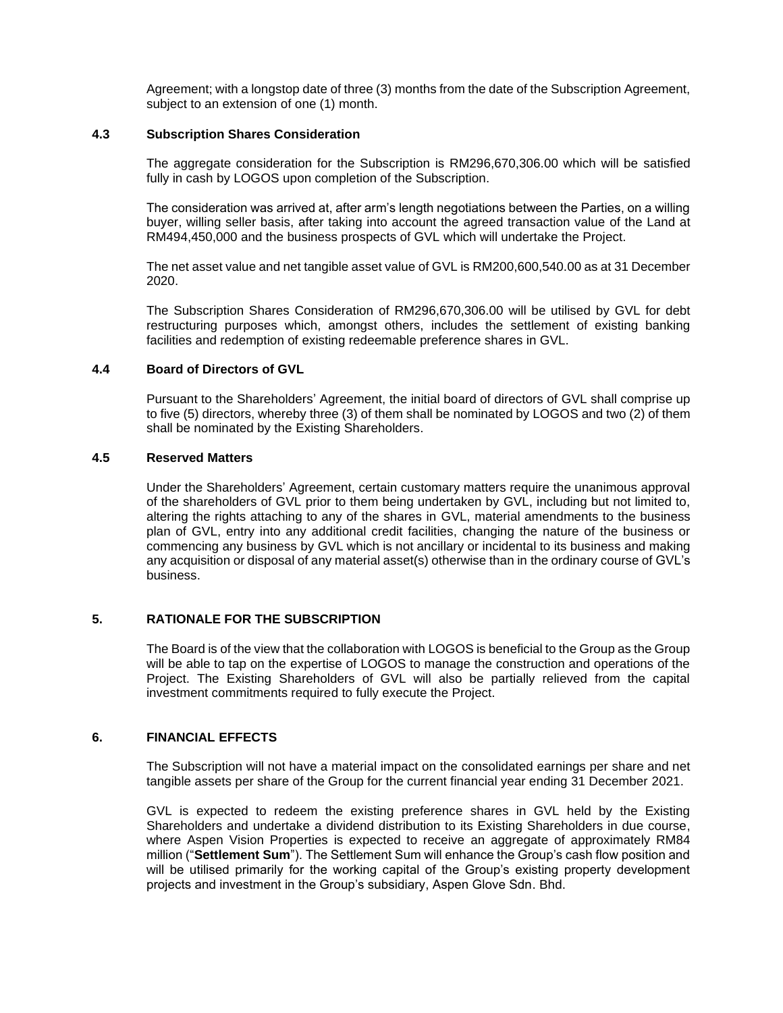Agreement; with a longstop date of three (3) months from the date of the Subscription Agreement, subject to an extension of one (1) month.

## **4.3 Subscription Shares Consideration**

The aggregate consideration for the Subscription is RM296,670,306.00 which will be satisfied fully in cash by LOGOS upon completion of the Subscription.

The consideration was arrived at, after arm's length negotiations between the Parties, on a willing buyer, willing seller basis, after taking into account the agreed transaction value of the Land at RM494,450,000 and the business prospects of GVL which will undertake the Project.

The net asset value and net tangible asset value of GVL is RM200,600,540.00 as at 31 December 2020.

The Subscription Shares Consideration of RM296,670,306.00 will be utilised by GVL for debt restructuring purposes which, amongst others, includes the settlement of existing banking facilities and redemption of existing redeemable preference shares in GVL.

#### **4.4 Board of Directors of GVL**

Pursuant to the Shareholders' Agreement, the initial board of directors of GVL shall comprise up to five (5) directors, whereby three (3) of them shall be nominated by LOGOS and two (2) of them shall be nominated by the Existing Shareholders.

## **4.5 Reserved Matters**

Under the Shareholders' Agreement, certain customary matters require the unanimous approval of the shareholders of GVL prior to them being undertaken by GVL, including but not limited to, altering the rights attaching to any of the shares in GVL, material amendments to the business plan of GVL, entry into any additional credit facilities, changing the nature of the business or commencing any business by GVL which is not ancillary or incidental to its business and making any acquisition or disposal of any material asset(s) otherwise than in the ordinary course of GVL's business.

## **5. RATIONALE FOR THE SUBSCRIPTION**

The Board is of the view that the collaboration with LOGOS is beneficial to the Group as the Group will be able to tap on the expertise of LOGOS to manage the construction and operations of the Project. The Existing Shareholders of GVL will also be partially relieved from the capital investment commitments required to fully execute the Project.

#### **6. FINANCIAL EFFECTS**

The Subscription will not have a material impact on the consolidated earnings per share and net tangible assets per share of the Group for the current financial year ending 31 December 2021.

GVL is expected to redeem the existing preference shares in GVL held by the Existing Shareholders and undertake a dividend distribution to its Existing Shareholders in due course, where Aspen Vision Properties is expected to receive an aggregate of approximately RM84 million ("**Settlement Sum**"). The Settlement Sum will enhance the Group's cash flow position and will be utilised primarily for the working capital of the Group's existing property development projects and investment in the Group's subsidiary, Aspen Glove Sdn. Bhd.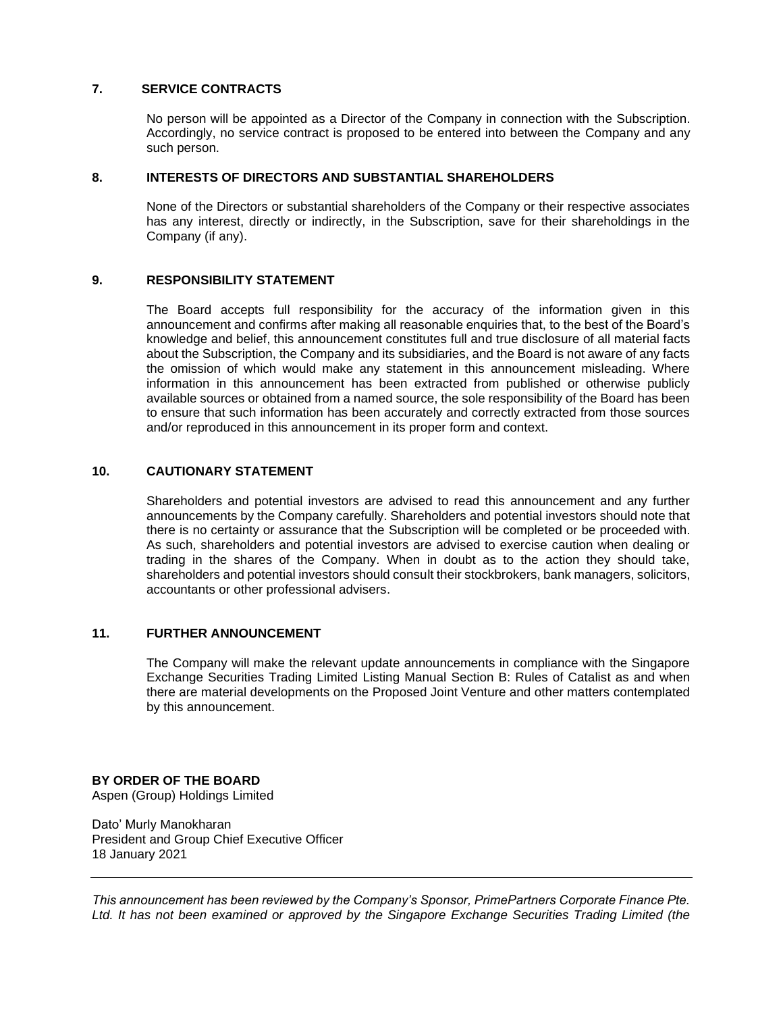## **7. SERVICE CONTRACTS**

No person will be appointed as a Director of the Company in connection with the Subscription. Accordingly, no service contract is proposed to be entered into between the Company and any such person.

#### **8. INTERESTS OF DIRECTORS AND SUBSTANTIAL SHAREHOLDERS**

None of the Directors or substantial shareholders of the Company or their respective associates has any interest, directly or indirectly, in the Subscription, save for their shareholdings in the Company (if any).

#### **9. RESPONSIBILITY STATEMENT**

The Board accepts full responsibility for the accuracy of the information given in this announcement and confirms after making all reasonable enquiries that, to the best of the Board's knowledge and belief, this announcement constitutes full and true disclosure of all material facts about the Subscription, the Company and its subsidiaries, and the Board is not aware of any facts the omission of which would make any statement in this announcement misleading. Where information in this announcement has been extracted from published or otherwise publicly available sources or obtained from a named source, the sole responsibility of the Board has been to ensure that such information has been accurately and correctly extracted from those sources and/or reproduced in this announcement in its proper form and context.

# **10. CAUTIONARY STATEMENT**

Shareholders and potential investors are advised to read this announcement and any further announcements by the Company carefully. Shareholders and potential investors should note that there is no certainty or assurance that the Subscription will be completed or be proceeded with. As such, shareholders and potential investors are advised to exercise caution when dealing or trading in the shares of the Company. When in doubt as to the action they should take, shareholders and potential investors should consult their stockbrokers, bank managers, solicitors, accountants or other professional advisers.

# **11. FURTHER ANNOUNCEMENT**

The Company will make the relevant update announcements in compliance with the Singapore Exchange Securities Trading Limited Listing Manual Section B: Rules of Catalist as and when there are material developments on the Proposed Joint Venture and other matters contemplated by this announcement.

# **BY ORDER OF THE BOARD**

Aspen (Group) Holdings Limited

Dato' Murly Manokharan President and Group Chief Executive Officer 18 January 2021

*This announcement has been reviewed by the Company's Sponsor, PrimePartners Corporate Finance Pte. Ltd. It has not been examined or approved by the Singapore Exchange Securities Trading Limited (the*